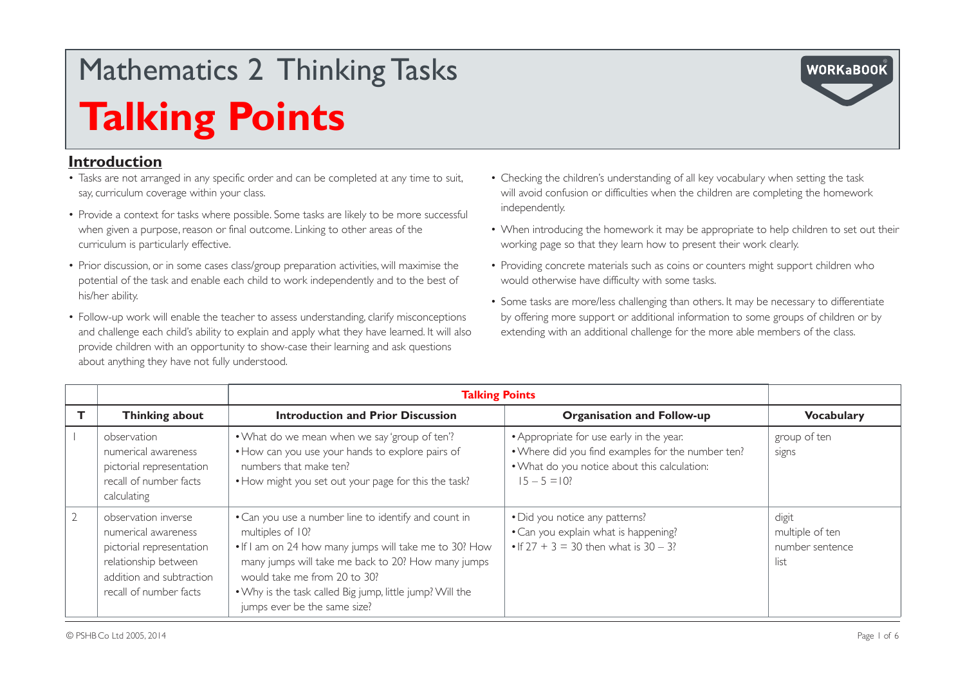### **Introduction**

- Tasks are not arranged in any specific order and can be completed at any time to suit, say, curriculum coverage within your class.
- Provide a context for tasks where possible. Some tasks are likely to be more successful when given a purpose, reason or final outcome. Linking to other areas of the curriculum is particularly effective.
- Prior discussion, or in some cases class/group preparation activities, will maximise the potential of the task and enable each child to work independently and to the best of his/her ability.
- Follow-up work will enable the teacher to assess understanding, clarify misconceptions and challenge each child's ability to explain and apply what they have learned. It will also provide children with an opportunity to show-case their learning and ask questions about anything they have not fully understood.
- Checking the children's understanding of all key vocabulary when setting the task will avoid confusion or difficulties when the children are completing the homework independently.
- When introducing the homework it may be appropriate to help children to set out their working page so that they learn how to present their work clearly.
- Providing concrete materials such as coins or counters might support children who would otherwise have difficulty with some tasks.
- Some tasks are more/less challenging than others. It may be necessary to differentiate by offering more support or additional information to some groups of children or by extending with an additional challenge for the more able members of the class.

|                                                                                                                                                      | <b>Talking Points</b>                                                                                                                                                                                                                                                                                                |                                                                                                                                                                 |                                                     |
|------------------------------------------------------------------------------------------------------------------------------------------------------|----------------------------------------------------------------------------------------------------------------------------------------------------------------------------------------------------------------------------------------------------------------------------------------------------------------------|-----------------------------------------------------------------------------------------------------------------------------------------------------------------|-----------------------------------------------------|
| Thinking about                                                                                                                                       | <b>Introduction and Prior Discussion</b>                                                                                                                                                                                                                                                                             | <b>Organisation and Follow-up</b>                                                                                                                               | <b>Vocabulary</b>                                   |
| observation<br>numerical awareness<br>pictorial representation<br>recall of number facts<br>calculating                                              | • What do we mean when we say 'group of ten'?<br>• How can you use your hands to explore pairs of<br>numbers that make ten?<br>• How might you set out your page for this the task?                                                                                                                                  | • Appropriate for use early in the year.<br>. Where did you find examples for the number ten?<br>. What do you notice about this calculation:<br>$15 - 5 = 10?$ | group of ten<br>signs                               |
| observation inverse<br>numerical awareness<br>pictorial representation<br>relationship between<br>addition and subtraction<br>recall of number facts | • Can you use a number line to identify and count in<br>multiples of 10?<br>. If I am on 24 how many jumps will take me to 30? How<br>many jumps will take me back to 20? How many jumps<br>would take me from 20 to 30?<br>. Why is the task called Big jump, little jump? Will the<br>jumps ever be the same size? | • Did you notice any patterns?<br>• Can you explain what is happening?<br>• If $27 + 3 = 30$ then what is $30 - 3$ ?                                            | digit<br>multiple of ten<br>number sentence<br>list |

**WORKaBOOK**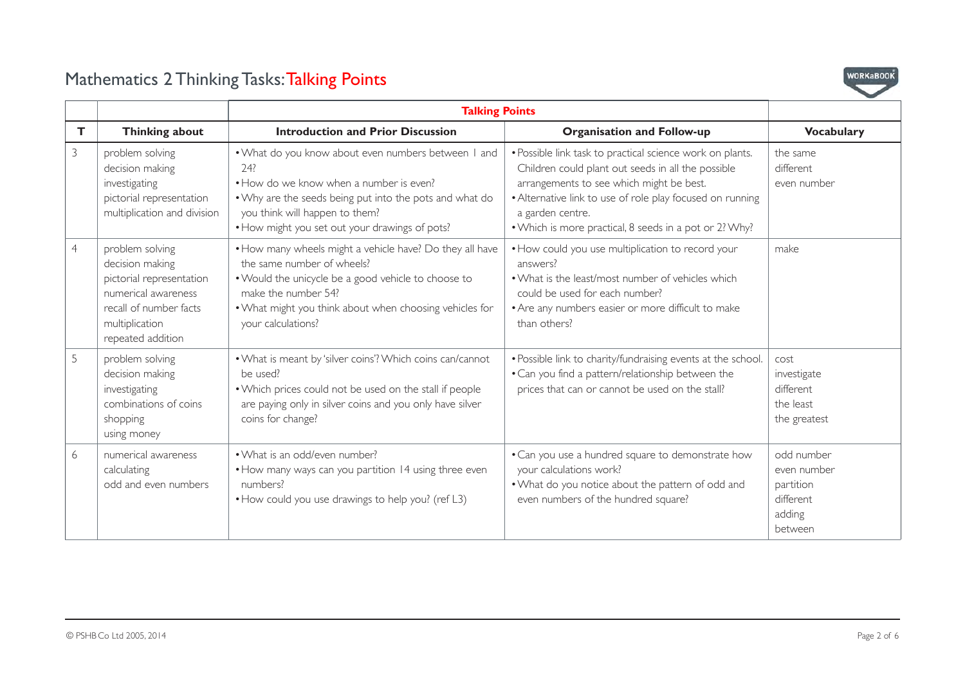

|                |                                                                                                                                                        | <b>Talking Points</b>                                                                                                                                                                                                                                 |                                                                                                                                                                                                                                                                                                        |                                                                          |
|----------------|--------------------------------------------------------------------------------------------------------------------------------------------------------|-------------------------------------------------------------------------------------------------------------------------------------------------------------------------------------------------------------------------------------------------------|--------------------------------------------------------------------------------------------------------------------------------------------------------------------------------------------------------------------------------------------------------------------------------------------------------|--------------------------------------------------------------------------|
| T.             | <b>Thinking about</b>                                                                                                                                  | <b>Introduction and Prior Discussion</b>                                                                                                                                                                                                              | <b>Organisation and Follow-up</b>                                                                                                                                                                                                                                                                      | <b>Vocabulary</b>                                                        |
| 3              | problem solving<br>decision making<br>investigating<br>pictorial representation<br>multiplication and division                                         | . What do you know about even numbers between I and<br>74?<br>• How do we know when a number is even?<br>. Why are the seeds being put into the pots and what do<br>you think will happen to them?<br>• How might you set out your drawings of pots?  | · Possible link task to practical science work on plants.<br>Children could plant out seeds in all the possible<br>arrangements to see which might be best.<br>• Alternative link to use of role play focused on running<br>a garden centre.<br>• Which is more practical, 8 seeds in a pot or 2? Why? | the same<br>different<br>even number                                     |
| $\overline{4}$ | problem solving<br>decision making<br>pictorial representation<br>numerical awareness<br>recall of number facts<br>multiplication<br>repeated addition | • How many wheels might a vehicle have? Do they all have<br>the same number of wheels?<br>. Would the unicycle be a good vehicle to choose to<br>make the number 54?<br>. What might you think about when choosing vehicles for<br>your calculations? | • How could you use multiplication to record your<br>answers?<br>• What is the least/most number of vehicles which<br>could be used for each number?<br>• Are any numbers easier or more difficult to make<br>than others?                                                                             | make                                                                     |
| 5              | problem solving<br>decision making<br>investigating<br>combinations of coins<br>shopping<br>using money                                                | . What is meant by 'silver coins'? Which coins can/cannot<br>be used?<br>. Which prices could not be used on the stall if people<br>are paying only in silver coins and you only have silver<br>coins for change?                                     | • Possible link to charity/fundraising events at the school.<br>• Can you find a pattern/relationship between the<br>prices that can or cannot be used on the stall?                                                                                                                                   | cost<br>investigate<br>different<br>the least<br>the greatest            |
| 6              | numerical awareness<br>calculating<br>odd and even numbers                                                                                             | • What is an odd/even number?<br>• How many ways can you partition 14 using three even<br>numbers?<br>• How could you use drawings to help you? (ref L3)                                                                                              | • Can you use a hundred square to demonstrate how<br>your calculations work?<br>. What do you notice about the pattern of odd and<br>even numbers of the hundred square?                                                                                                                               | odd number<br>even number<br>partition<br>different<br>adding<br>between |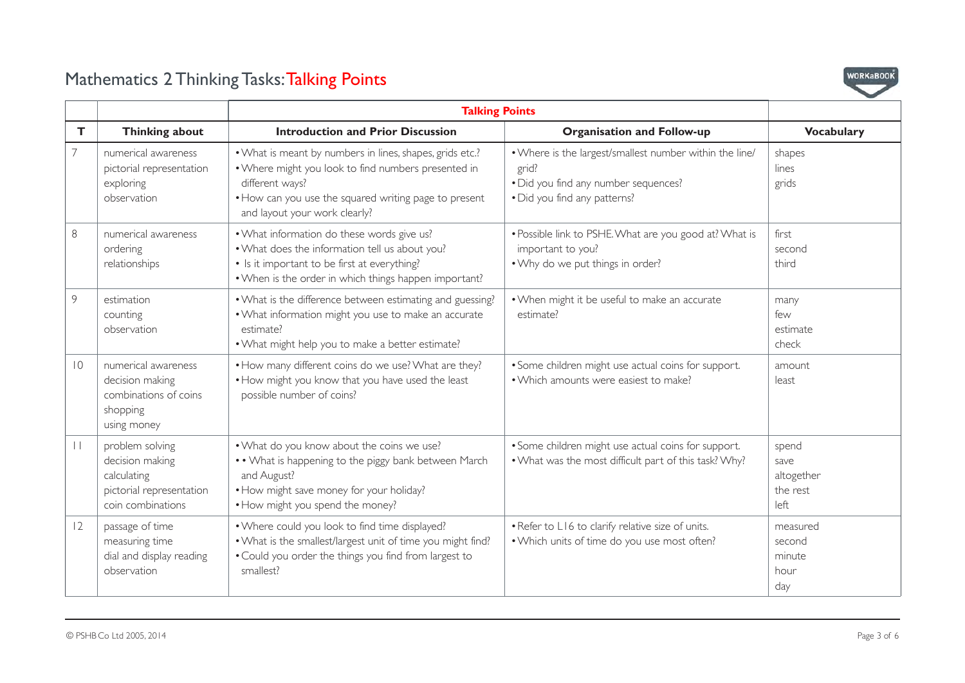

|                 |                                                                                                    | <b>Talking Points</b>                                                                                                                                                                                                        |                                                                                                                                          |                                                 |
|-----------------|----------------------------------------------------------------------------------------------------|------------------------------------------------------------------------------------------------------------------------------------------------------------------------------------------------------------------------------|------------------------------------------------------------------------------------------------------------------------------------------|-------------------------------------------------|
| $\mathsf{T}$    | <b>Thinking about</b>                                                                              | <b>Introduction and Prior Discussion</b>                                                                                                                                                                                     | <b>Organisation and Follow-up</b>                                                                                                        | <b>Vocabulary</b>                               |
| $\overline{7}$  | numerical awareness<br>pictorial representation<br>exploring<br>observation                        | . What is meant by numbers in lines, shapes, grids etc.?<br>. Where might you look to find numbers presented in<br>different ways?<br>• How can you use the squared writing page to present<br>and layout your work clearly? | . Where is the largest/smallest number within the line/<br>grid?<br>. Did you find any number sequences?<br>. Did you find any patterns? | shapes<br>lines<br>grids                        |
| $8\,$           | numerical awareness<br>ordering<br>relationships                                                   | . What information do these words give us?<br>. What does the information tell us about you?<br>• Is it important to be first at everything?<br>. When is the order in which things happen important?                        | . Possible link to PSHE. What are you good at? What is<br>important to you?<br>. Why do we put things in order?                          | first<br>second<br>third                        |
| $\overline{9}$  | estimation<br>counting<br>observation                                                              | . What is the difference between estimating and guessing?<br>. What information might you use to make an accurate<br>estimate?<br>. What might help you to make a better estimate?                                           | . When might it be useful to make an accurate<br>estimate?                                                                               | many<br>few<br>estimate<br>check                |
| $\overline{10}$ | numerical awareness<br>decision making<br>combinations of coins<br>shopping<br>using money         | . How many different coins do we use? What are they?<br>. How might you know that you have used the least<br>possible number of coins?                                                                                       | • Some children might use actual coins for support.<br>• Which amounts were easiest to make?                                             | amount<br>least                                 |
| $\vert \ \vert$ | problem solving<br>decision making<br>calculating<br>pictorial representation<br>coin combinations | . What do you know about the coins we use?<br>• • What is happening to the piggy bank between March<br>and August?<br>• How might save money for your holiday?<br>• How might you spend the money?                           | • Some children might use actual coins for support.<br>. What was the most difficult part of this task? Why?                             | spend<br>save<br>altogether<br>the rest<br>left |
| 12              | passage of time<br>measuring time<br>dial and display reading<br>observation                       | . Where could you look to find time displayed?<br>. What is the smallest/largest unit of time you might find?<br>. Could you order the things you find from largest to<br>smallest?                                          | . Refer to L16 to clarify relative size of units.<br>. Which units of time do you use most often?                                        | measured<br>second<br>minute<br>hour<br>day     |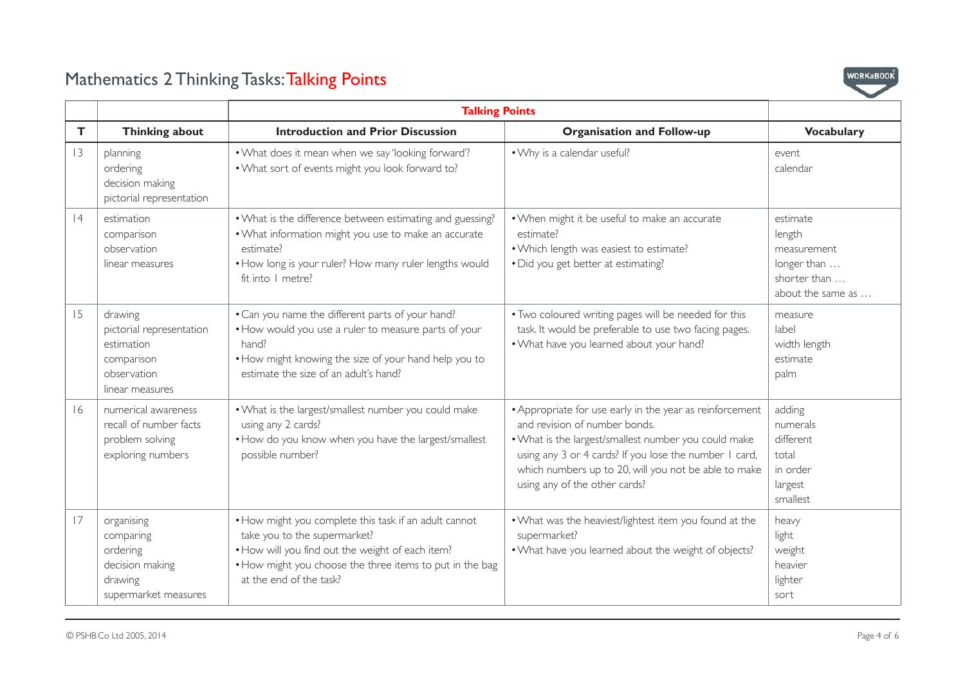

|    |                                                                                                   | <b>Talking Points</b>                                                                                                                                                                                                            |                                                                                                                                                                                                                                                                                                      |                                                                                       |
|----|---------------------------------------------------------------------------------------------------|----------------------------------------------------------------------------------------------------------------------------------------------------------------------------------------------------------------------------------|------------------------------------------------------------------------------------------------------------------------------------------------------------------------------------------------------------------------------------------------------------------------------------------------------|---------------------------------------------------------------------------------------|
| T  | <b>Thinking about</b>                                                                             | <b>Introduction and Prior Discussion</b>                                                                                                                                                                                         | <b>Organisation and Follow-up</b>                                                                                                                                                                                                                                                                    | <b>Vocabulary</b>                                                                     |
| 3  | planning<br>ordering<br>decision making<br>pictorial representation                               | . What does it mean when we say 'looking forward'?<br>. What sort of events might you look forward to?                                                                                                                           | . Why is a calendar useful?                                                                                                                                                                                                                                                                          | event<br>calendar                                                                     |
| 4  | estimation<br>comparison<br>observation<br>linear measures                                        | . What is the difference between estimating and guessing?<br>. What information might you use to make an accurate<br>estimate?<br>• How long is your ruler? How many ruler lengths would<br>fit into I metre?                    | . When might it be useful to make an accurate<br>estimate?<br>. Which length was easiest to estimate?<br>• Did you get better at estimating?                                                                                                                                                         | estimate<br>length<br>measurement<br>longer than<br>shorter than<br>about the same as |
| 15 | drawing<br>pictorial representation<br>estimation<br>comparison<br>observation<br>linear measures | . Can you name the different parts of your hand?<br>. How would you use a ruler to measure parts of your<br>hand?<br>. How might knowing the size of your hand help you to<br>estimate the size of an adult's hand?              | . Two coloured writing pages will be needed for this<br>task. It would be preferable to use two facing pages.<br>. What have you learned about your hand?                                                                                                                                            | measure<br>label<br>width length<br>estimate<br>palm                                  |
| 16 | numerical awareness<br>recall of number facts<br>problem solving<br>exploring numbers             | . What is the largest/smallest number you could make<br>using any 2 cards?<br>• How do you know when you have the largest/smallest<br>possible number?                                                                           | • Appropriate for use early in the year as reinforcement<br>and revision of number bonds.<br>. What is the largest/smallest number you could make<br>using any 3 or 4 cards? If you lose the number 1 card,<br>which numbers up to 20, will you not be able to make<br>using any of the other cards? | adding<br>numerals<br>different<br>total<br>in order<br>largest<br>smallest           |
| 17 | organising<br>comparing<br>ordering<br>decision making<br>drawing<br>supermarket measures         | • How might you complete this task if an adult cannot<br>take you to the supermarket?<br>. How will you find out the weight of each item?<br>• How might you choose the three items to put in the bag<br>at the end of the task? | . What was the heaviest/lightest item you found at the<br>supermarket?<br>. What have you learned about the weight of objects?                                                                                                                                                                       | heavy<br>light<br>weight<br>heavier<br>lighter<br>sort                                |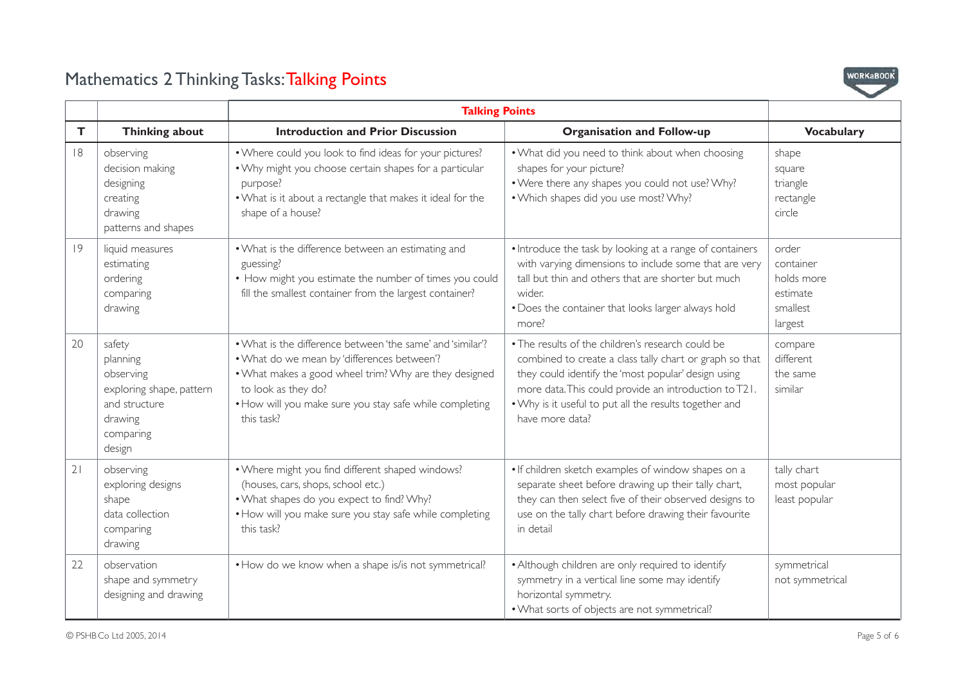

|    |                                                                                                                | <b>Talking Points</b>                                                                                                                                                                                                                                              |                                                                                                                                                                                                                                                                                                           |                                                                     |
|----|----------------------------------------------------------------------------------------------------------------|--------------------------------------------------------------------------------------------------------------------------------------------------------------------------------------------------------------------------------------------------------------------|-----------------------------------------------------------------------------------------------------------------------------------------------------------------------------------------------------------------------------------------------------------------------------------------------------------|---------------------------------------------------------------------|
| T  | Thinking about                                                                                                 | <b>Introduction and Prior Discussion</b>                                                                                                                                                                                                                           | <b>Organisation and Follow-up</b>                                                                                                                                                                                                                                                                         | <b>Vocabulary</b>                                                   |
| 8  | observing<br>decision making<br>designing<br>creating<br>drawing<br>patterns and shapes                        | . Where could you look to find ideas for your pictures?<br>. Why might you choose certain shapes for a particular<br>purpose?<br>. What is it about a rectangle that makes it ideal for the<br>shape of a house?                                                   | . What did you need to think about when choosing<br>shapes for your picture?<br>. Were there any shapes you could not use? Why?<br>. Which shapes did you use most? Why?                                                                                                                                  | shape<br>square<br>triangle<br>rectangle<br>circle                  |
| 9  | liquid measures<br>estimating<br>ordering<br>comparing<br>drawing                                              | • What is the difference between an estimating and<br>guessing?<br>• How might you estimate the number of times you could<br>fill the smallest container from the largest container?                                                                               | • Introduce the task by looking at a range of containers<br>with varying dimensions to include some that are very<br>tall but thin and others that are shorter but much<br>wider.<br>. Does the container that looks larger always hold<br>more?                                                          | order<br>container<br>holds more<br>estimate<br>smallest<br>largest |
| 20 | safety<br>planning<br>observing<br>exploring shape, pattern<br>and structure<br>drawing<br>comparing<br>design | . What is the difference between 'the same' and 'similar'?<br>. What do we mean by 'differences between'?<br>. What makes a good wheel trim? Why are they designed<br>to look as they do?<br>. How will you make sure you stay safe while completing<br>this task? | . The results of the children's research could be<br>combined to create a class tally chart or graph so that<br>they could identify the 'most popular' design using<br>more data. This could provide an introduction to T21.<br>. Why is it useful to put all the results together and<br>have more data? | compare<br>different<br>the same<br>similar                         |
| 21 | observing<br>exploring designs<br>shape<br>data collection<br>comparing<br>drawing                             | . Where might you find different shaped windows?<br>(houses, cars, shops, school etc.)<br>. What shapes do you expect to find? Why?<br>• How will you make sure you stay safe while completing<br>this task?                                                       | . If children sketch examples of window shapes on a<br>separate sheet before drawing up their tally chart,<br>they can then select five of their observed designs to<br>use on the tally chart before drawing their favourite<br>in detail                                                                | tally chart<br>most popular<br>least popular                        |
| 22 | observation<br>shape and symmetry<br>designing and drawing                                                     | • How do we know when a shape is/is not symmetrical?                                                                                                                                                                                                               | • Although children are only required to identify<br>symmetry in a vertical line some may identify<br>horizontal symmetry.<br>. What sorts of objects are not symmetrical?                                                                                                                                | symmetrical<br>not symmetrical                                      |